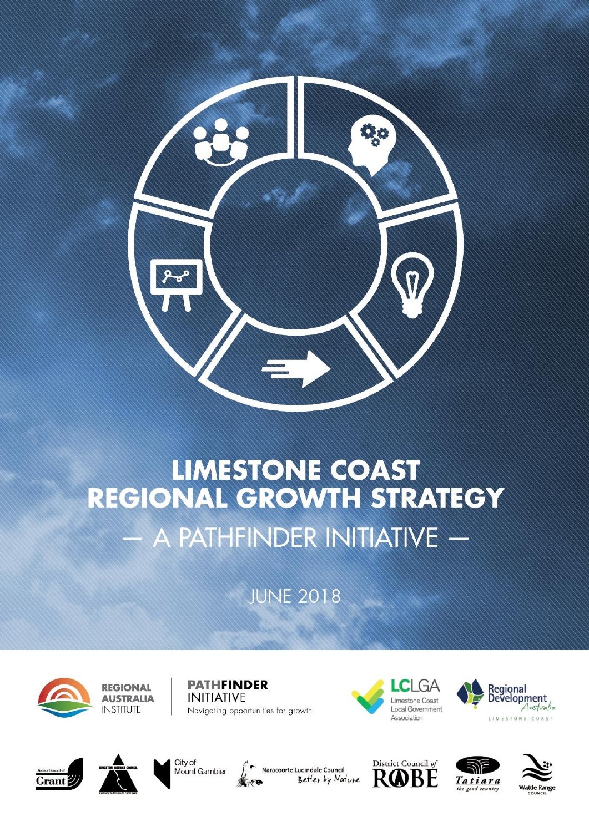

# **LIMESTONE COAST REGIONAL GROWTH STRATEGY**  $-$  A PATHFINDER INITIATIVE  $-$

**JUNE 2018** 



**REGIONAL AUSTRALIA INSTITUTE** 

**PATHFINDER INITIATIVE** Navigating opportunities for growth











**Solution** Naracoorte Lucindale Council<br>Better by Nature





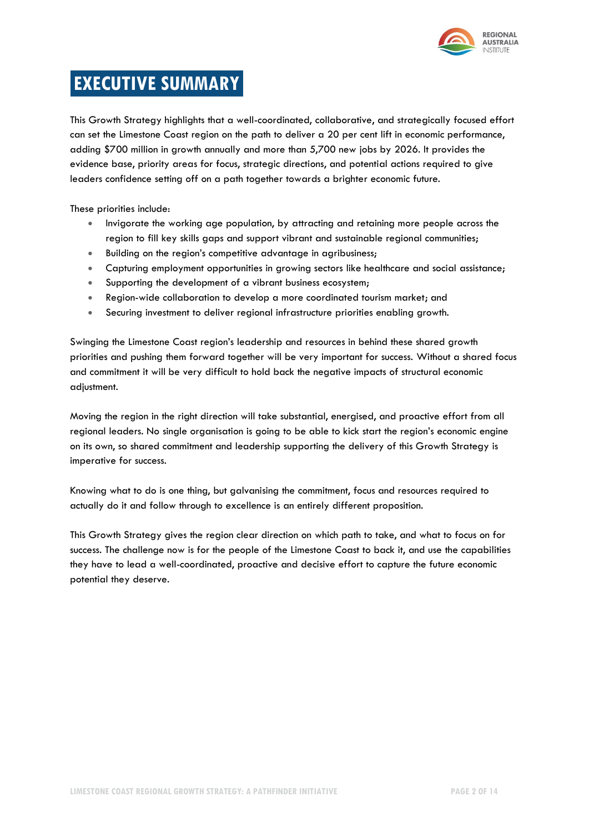

# **EXECUTIVE SUMMARY**

This Growth Strategy highlights that a well-coordinated, collaborative, and strategically focused effort can set the Limestone Coast region on the path to deliver a 20 per cent lift in economic performance, adding \$700 million in growth annually and more than 5,700 new jobs by 2026. It provides the evidence base, priority areas for focus, strategic directions, and potential actions required to give leaders confidence setting off on a path together towards a brighter economic future.

These priorities include:

- Invigorate the working age population, by attracting and retaining more people across the region to fill key skills gaps and support vibrant and sustainable regional communities;
- Building on the region's competitive advantage in agribusiness;
- Capturing employment opportunities in growing sectors like healthcare and social assistance;
- Supporting the development of a vibrant business ecosystem;
- Region-wide collaboration to develop a more coordinated tourism market; and
- Securing investment to deliver regional infrastructure priorities enabling growth.

Swinging the Limestone Coast region's leadership and resources in behind these shared growth priorities and pushing them forward together will be very important for success. Without a shared focus and commitment it will be very difficult to hold back the negative impacts of structural economic adjustment.

Moving the region in the right direction will take substantial, energised, and proactive effort from all regional leaders. No single organisation is going to be able to kick start the region's economic engine on its own, so shared commitment and leadership supporting the delivery of this Growth Strategy is imperative for success.

Knowing what to do is one thing, but galvanising the commitment, focus and resources required to actually do it and follow through to excellence is an entirely different proposition.

This Growth Strategy gives the region clear direction on which path to take, and what to focus on for success. The challenge now is for the people of the Limestone Coast to back it, and use the capabilities they have to lead a well-coordinated, proactive and decisive effort to capture the future economic potential they deserve.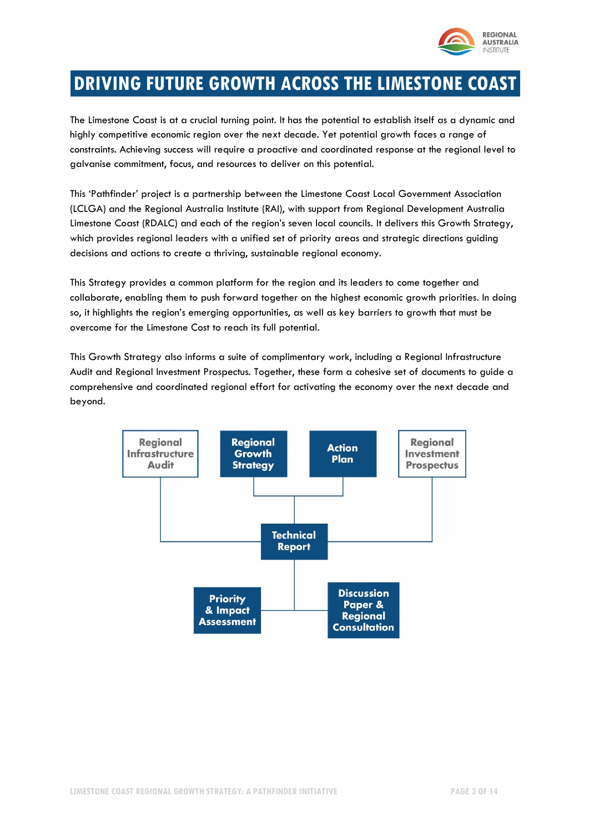

# **DRIVING FUTURE GROWTH ACROSS THE LIMESTONE COAST**

The Limestone Coast is at a crucial turning point. It has the potential to establish itself as a dynamic and highly competitive economic region over the next decade. Yet potential growth faces a range of constraints. Achieving success will require a proactive and coordinated response at the regional level to galvanise commitment, focus, and resources to deliver on this potential.

This 'Pathfinder' project is a partnership between the Limestone Coast Local Government Association (LCLGA) and the Regional Australia Institute (RAI), with support from Regional Development Australia Limestone Coast (RDALC) and each of the region's seven local councils. It delivers this Growth Strategy, which provides regional leaders with a unified set of priority areas and strategic directions guiding decisions and actions to create a thriving, sustainable regional economy.

This Strategy provides a common platform for the region and its leaders to come together and collaborate, enabling them to push forward together on the highest economic growth priorities. In doing so, it highlights the region's emerging opportunities, as well as key barriers to growth that must be overcome for the Limestone Cost to reach its full potential.

This Growth Strategy also informs a suite of complimentary work, including a Regional Infrastructure Audit and Regional Investment Prospectus. Together, these form a cohesive set of documents to guide a comprehensive and coordinated regional effort for activating the economy over the next decade and beyond.

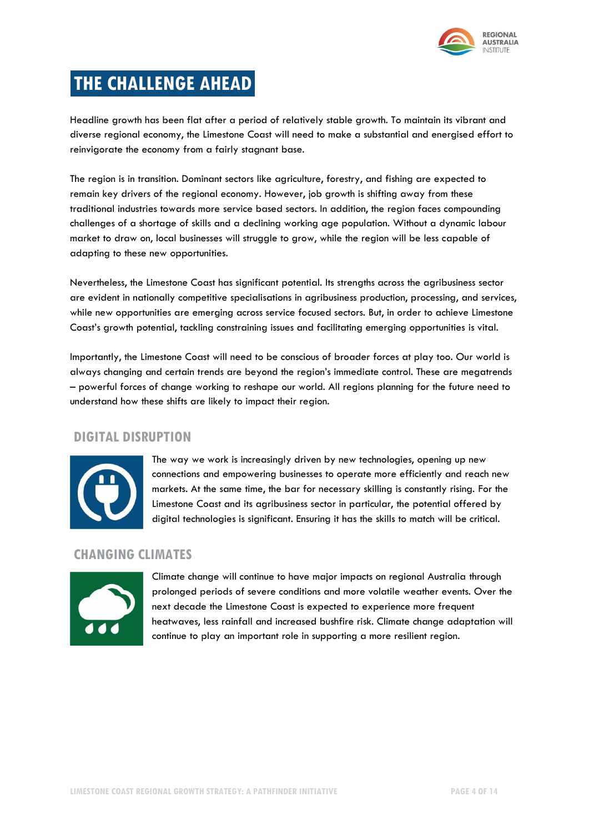

# **THE CHALLENGE AHEAD**

Headline growth has been flat after a period of relatively stable growth. To maintain its vibrant and diverse regional economy, the Limestone Coast will need to make a substantial and energised effort to reinvigorate the economy from a fairly stagnant base.

The region is in transition. Dominant sectors like agriculture, forestry, and fishing are expected to remain key drivers of the regional economy. However, job growth is shifting away from these traditional industries towards more service based sectors. In addition, the region faces compounding challenges of a shortage of skills and a declining working age population. Without a dynamic labour market to draw on, local businesses will struggle to grow, while the region will be less capable of adapting to these new opportunities.

Nevertheless, the Limestone Coast has significant potential. Its strengths across the agribusiness sector are evident in nationally competitive specialisations in agribusiness production, processing, and services, while new opportunities are emerging across service focused sectors. But, in order to achieve Limestone Coast's growth potential, tackling constraining issues and facilitating emerging opportunities is vital.

Importantly, the Limestone Coast will need to be conscious of broader forces at play too. Our world is always changing and certain trends are beyond the region's immediate control. These are megatrends – powerful forces of change working to reshape our world. All regions planning for the future need to understand how these shifts are likely to impact their region.

## **DIGITAL DISRUPTION**



The way we work is increasingly driven by new technologies, opening up new connections and empowering businesses to operate more efficiently and reach new markets. At the same time, the bar for necessary skilling is constantly rising. For the Limestone Coast and its agribusiness sector in particular, the potential offered by digital technologies is significant. Ensuring it has the skills to match will be critical.

### **CHANGING CLIMATES**



Climate change will continue to have major impacts on regional Australia through prolonged periods of severe conditions and more volatile weather events. Over the next decade the Limestone Coast is expected to experience more frequent heatwaves, less rainfall and increased bushfire risk. Climate change adaptation will continue to play an important role in supporting a more resilient region.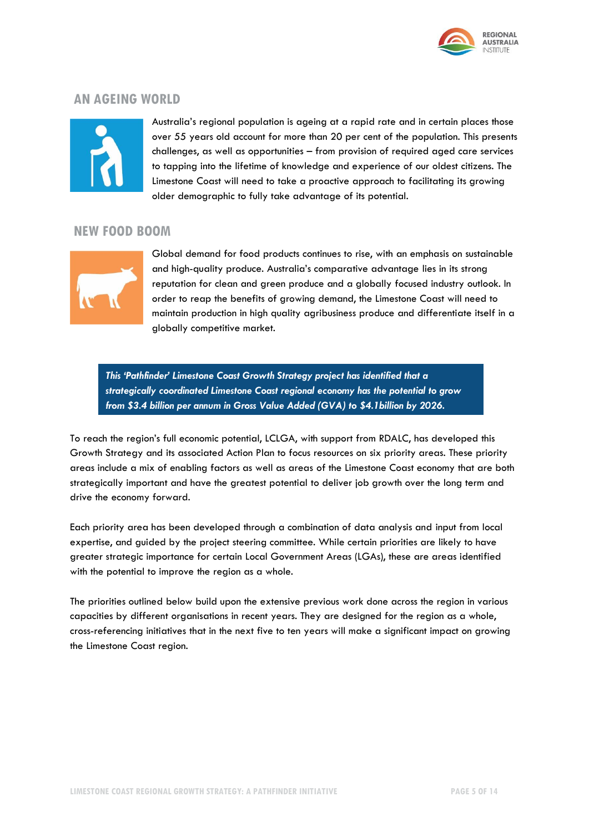

### **AN AGEING WORLD**



Australia's regional population is ageing at a rapid rate and in certain places those over 55 years old account for more than 20 per cent of the population. This presents challenges, as well as opportunities – from provision of required aged care services to tapping into the lifetime of knowledge and experience of our oldest citizens. The Limestone Coast will need to take a proactive approach to facilitating its growing older demographic to fully take advantage of its potential.

#### **NEW FOOD BOOM**



Global demand for food products continues to rise, with an emphasis on sustainable and high-quality produce. Australia's comparative advantage lies in its strong reputation for clean and green produce and a globally focused industry outlook. In order to reap the benefits of growing demand, the Limestone Coast will need to maintain production in high quality agribusiness produce and differentiate itself in a globally competitive market.

*This 'Pathfinder' Limestone Coast Growth Strategy project has identified that a strategically coordinated Limestone Coast regional economy has the potential to grow from \$3.4 billion per annum in Gross Value Added (GVA) to \$4.1billion by 2026.*

To reach the region's full economic potential, LCLGA, with support from RDALC, has developed this Growth Strategy and its associated Action Plan to focus resources on six priority areas. These priority areas include a mix of enabling factors as well as areas of the Limestone Coast economy that are both strategically important and have the greatest potential to deliver job growth over the long term and drive the economy forward.

Each priority area has been developed through a combination of data analysis and input from local expertise, and guided by the project steering committee. While certain priorities are likely to have greater strategic importance for certain Local Government Areas (LGAs), these are areas identified with the potential to improve the region as a whole.

The priorities outlined below build upon the extensive previous work done across the region in various capacities by different organisations in recent years. They are designed for the region as a whole, cross-referencing initiatives that in the next five to ten years will make a significant impact on growing the Limestone Coast region.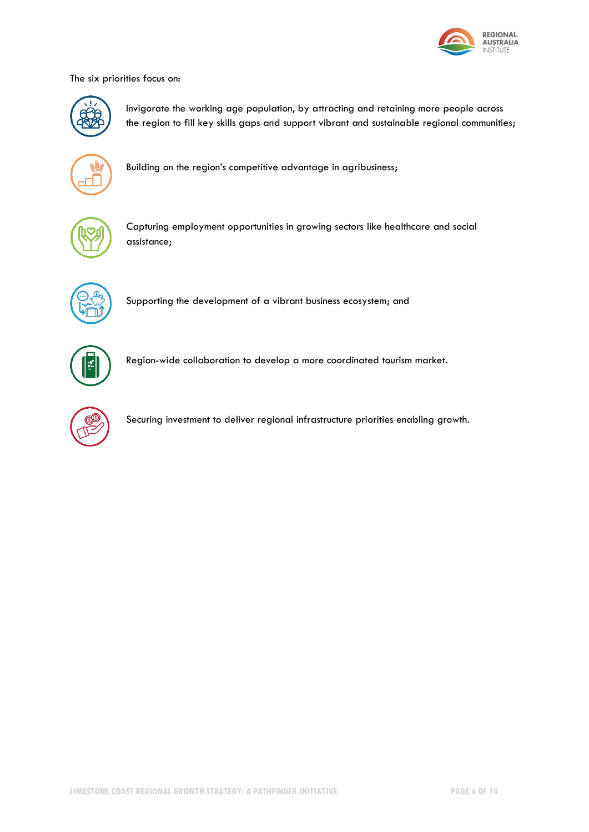

The six priorities focus on:



Invigorate the working age population, by attracting and retaining more people across the region to fill key skills gaps and support vibrant and sustainable regional communities;



Building on the region's competitive advantage in agribusiness;



Capturing employment opportunities in growing sectors like healthcare and social assistance;



Supporting the development of a vibrant business ecosystem; and



Region-wide collaboration to develop a more coordinated tourism market.



Securing investment to deliver regional infrastructure priorities enabling growth.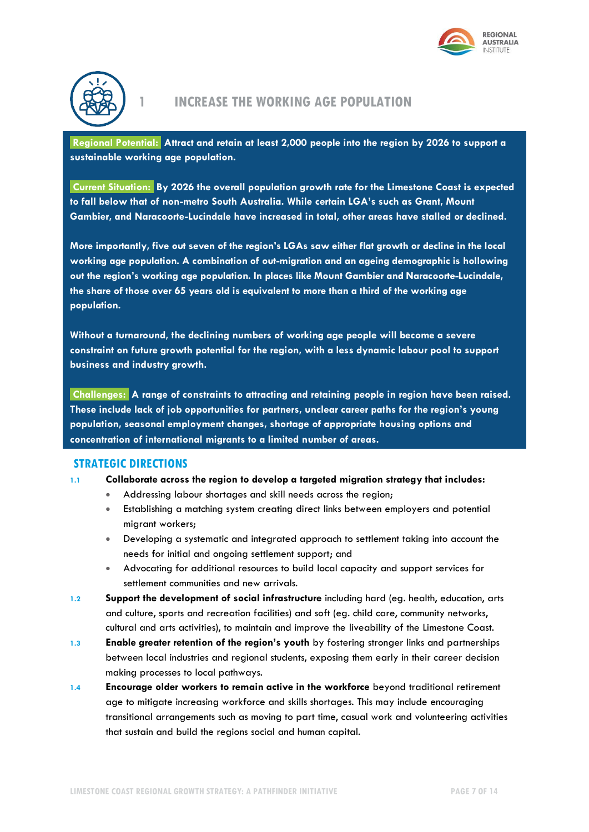



### **1 INCREASE THE WORKING AGE POPULATION**

**Regional Potential: Attract and retain at least 2,000 people into the region by 2026 to support a sustainable working age population.** 

**Current Situation: By 2026 the overall population growth rate for the Limestone Coast is expected to fall below that of non-metro South Australia. While certain LGA's such as Grant, Mount Gambier, and Naracoorte-Lucindale have increased in total, other areas have stalled or declined.** 

**More importantly, five out seven of the region's LGAs saw either flat growth or decline in the local working age population. A combination of out-migration and an ageing demographic is hollowing out the region's working age population. In places like Mount Gambier and Naracoorte-Lucindale, the share of those over 65 years old is equivalent to more than a third of the working age population.**

**Without a turnaround, the declining numbers of working age people will become a severe constraint on future growth potential for the region, with a less dynamic labour pool to support business and industry growth.**

**Challenges: A range of constraints to attracting and retaining people in region have been raised. These include lack of job opportunities for partners, unclear career paths for the region's young population, seasonal employment changes, shortage of appropriate housing options and concentration of international migrants to a limited number of areas.**

#### **STRATEGIC DIRECTIONS**

#### **1.1 Collaborate across the region to develop a targeted migration strategy that includes:**

- Addressing labour shortages and skill needs across the region;
- Establishing a matching system creating direct links between employers and potential migrant workers;
- Developing a systematic and integrated approach to settlement taking into account the needs for initial and ongoing settlement support; and
- Advocating for additional resources to build local capacity and support services for settlement communities and new arrivals.
- **1.2 Support the development of social infrastructure** including hard (eg. health, education, arts and culture, sports and recreation facilities) and soft (eg. child care, community networks, cultural and arts activities), to maintain and improve the liveability of the Limestone Coast.
- **1.3 Enable greater retention of the region's youth** by fostering stronger links and partnerships between local industries and regional students, exposing them early in their career decision making processes to local pathways.
- **1.4 Encourage older workers to remain active in the workforce** beyond traditional retirement age to mitigate increasing workforce and skills shortages. This may include encouraging transitional arrangements such as moving to part time, casual work and volunteering activities that sustain and build the regions social and human capital.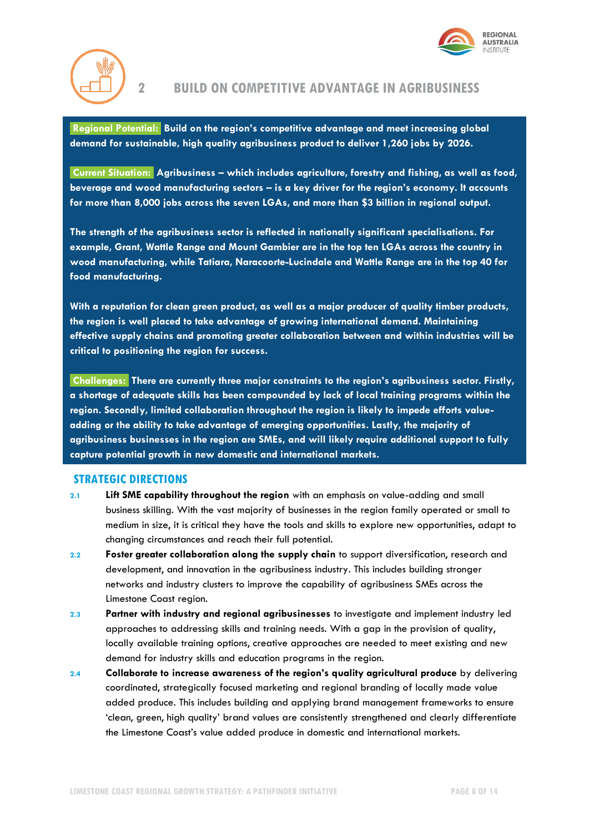



### **2 BUILD ON COMPETITIVE ADVANTAGE IN AGRIBUSINESS**

**Regional Potential: Build on the region's competitive advantage and meet increasing global demand for sustainable, high quality agribusiness product to deliver 1,260 jobs by 2026.** 

**Current Situation: Agribusiness – which includes agriculture, forestry and fishing, as well as food, beverage and wood manufacturing sectors – is a key driver for the region's economy. It accounts for more than 8,000 jobs across the seven LGAs, and more than \$3 billion in regional output.** 

**The strength of the agribusiness sector is reflected in nationally significant specialisations. For example, Grant, Wattle Range and Mount Gambier are in the top ten LGAs across the country in wood manufacturing, while Tatiara, Naracoorte-Lucindale and Wattle Range are in the top 40 for food manufacturing.**

**With a reputation for clean green product, as well as a major producer of quality timber products, the region is well placed to take advantage of growing international demand. Maintaining effective supply chains and promoting greater collaboration between and within industries will be critical to positioning the region for success.** 

**Challenges: There are currently three major constraints to the region's agribusiness sector. Firstly, a shortage of adequate skills has been compounded by lack of local training programs within the region. Secondly, limited collaboration throughout the region is likely to impede efforts valueadding or the ability to take advantage of emerging opportunities. Lastly, the majority of agribusiness businesses in the region are SMEs, and will likely require additional support to fully capture potential growth in new domestic and international markets.**

- **2.1 Lift SME capability throughout the region** with an emphasis on value-adding and small business skilling. With the vast majority of businesses in the region family operated or small to medium in size, it is critical they have the tools and skills to explore new opportunities, adapt to changing circumstances and reach their full potential.
- **2.2 Foster greater collaboration along the supply chain** to support diversification, research and development, and innovation in the agribusiness industry. This includes building stronger networks and industry clusters to improve the capability of agribusiness SMEs across the Limestone Coast region.
- **2.3 Partner with industry and regional agribusinesses** to investigate and implement industry led approaches to addressing skills and training needs. With a gap in the provision of quality, locally available training options, creative approaches are needed to meet existing and new demand for industry skills and education programs in the region.
- **2.4 Collaborate to increase awareness of the region's quality agricultural produce** by delivering coordinated, strategically focused marketing and regional branding of locally made value added produce. This includes building and applying brand management frameworks to ensure 'clean, green, high quality' brand values are consistently strengthened and clearly differentiate the Limestone Coast's value added produce in domestic and international markets.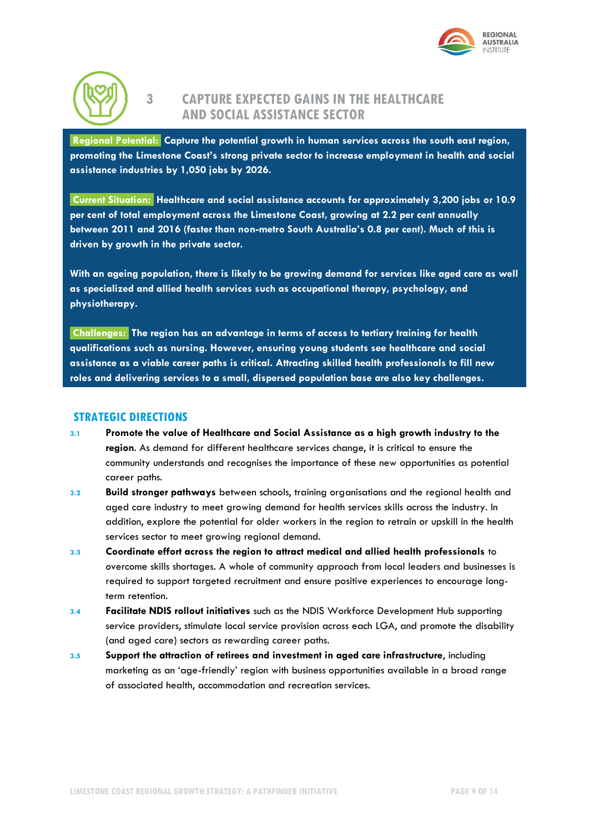



# **3 CAPTURE EXPECTED GAINS IN THE HEALTHCARE AND SOCIAL ASSISTANCE SECTOR**

**Regional Potential: Capture the potential growth in human services across the south east region, promoting the Limestone Coast's strong private sector to increase employment in health and social assistance industries by 1,050 jobs by 2026.** 

**Current Situation: Healthcare and social assistance accounts for approximately 3,200 jobs or 10.9 per cent of total employment across the Limestone Coast, growing at 2.2 per cent annually between 2011 and 2016 (faster than non-metro South Australia's 0.8 per cent). Much of this is driven by growth in the private sector.**

**With an ageing population, there is likely to be growing demand for services like aged care as well as specialized and allied health services such as occupational therapy, psychology, and physiotherapy.** 

**Challenges: The region has an advantage in terms of access to tertiary training for health qualifications such as nursing. However, ensuring young students see healthcare and social assistance as a viable career paths is critical. Attracting skilled health professionals to fill new roles and delivering services to a small, dispersed population base are also key challenges.**

- **3.1 Promote the value of Healthcare and Social Assistance as a high growth industry to the region**. As demand for different healthcare services change, it is critical to ensure the community understands and recognises the importance of these new opportunities as potential career paths.
- **3.2 Build stronger pathways** between schools, training organisations and the regional health and aged care industry to meet growing demand for health services skills across the industry. In addition, explore the potential for older workers in the region to retrain or upskill in the health services sector to meet growing regional demand.
- **3.3 Coordinate effort across the region to attract medical and allied health professionals** to overcome skills shortages. A whole of community approach from local leaders and businesses is required to support targeted recruitment and ensure positive experiences to encourage longterm retention.
- **3.4 Facilitate NDIS rollout initiatives** such as the NDIS Workforce Development Hub supporting service providers, stimulate local service provision across each LGA, and promote the disability (and aged care) sectors as rewarding career paths.
- **3.5 Support the attraction of retirees and investment in aged care infrastructure**, including marketing as an 'age-friendly' region with business opportunities available in a broad range of associated health, accommodation and recreation services.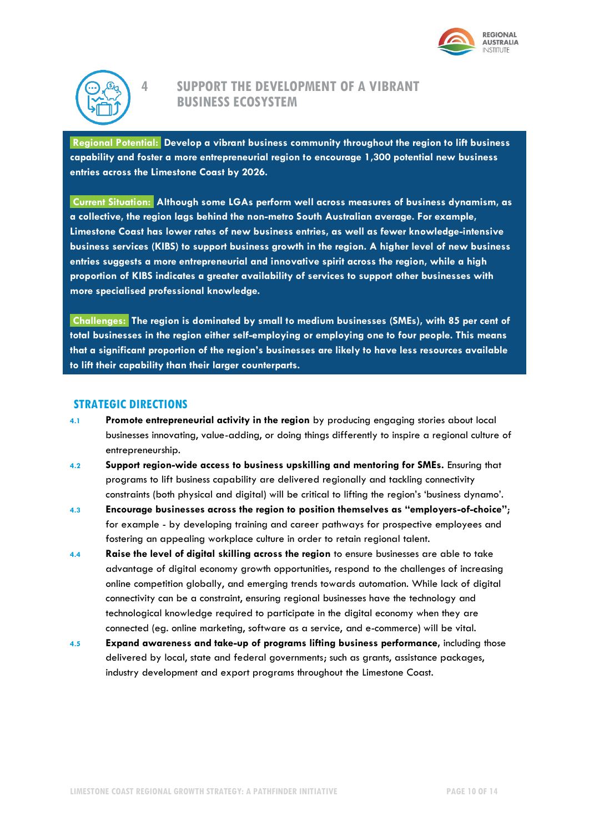



# **4 SUPPORT THE DEVELOPMENT OF A VIBRANT BUSINESS ECOSYSTEM**

**Regional Potential: Develop a vibrant business community throughout the region to lift business capability and foster a more entrepreneurial region to encourage 1,300 potential new business entries across the Limestone Coast by 2026.** 

**Current Situation: Although some LGAs perform well across measures of business dynamism, as a collective, the region lags behind the non-metro South Australian average. For example, Limestone Coast has lower rates of new business entries, as well as fewer knowledge-intensive business services (KIBS) to support business growth in the region. A higher level of new business entries suggests a more entrepreneurial and innovative spirit across the region, while a high proportion of KIBS indicates a greater availability of services to support other businesses with more specialised professional knowledge.** 

**Challenges: The region is dominated by small to medium businesses (SMEs), with 85 per cent of total businesses in the region either self-employing or employing one to four people. This means that a significant proportion of the region's businesses are likely to have less resources available to lift their capability than their larger counterparts.**

- **4.1 Promote entrepreneurial activity in the region** by producing engaging stories about local businesses innovating, value-adding, or doing things differently to inspire a regional culture of entrepreneurship.
- **4.2 Support region-wide access to business upskilling and mentoring for SMEs.** Ensuring that programs to lift business capability are delivered regionally and tackling connectivity constraints (both physical and digital) will be critical to lifting the region's 'business dynamo'.
- **4.3 Encourage businesses across the region to position themselves as "employers-of-choice"**; for example - by developing training and career pathways for prospective employees and fostering an appealing workplace culture in order to retain regional talent.
- **4.4 Raise the level of digital skilling across the region** to ensure businesses are able to take advantage of digital economy growth opportunities, respond to the challenges of increasing online competition globally, and emerging trends towards automation. While lack of digital connectivity can be a constraint, ensuring regional businesses have the technology and technological knowledge required to participate in the digital economy when they are connected (eg. online marketing, software as a service, and e-commerce) will be vital.
- **4.5 Expand awareness and take-up of programs lifting business performance,** including those delivered by local, state and federal governments; such as grants, assistance packages, industry development and export programs throughout the Limestone Coast.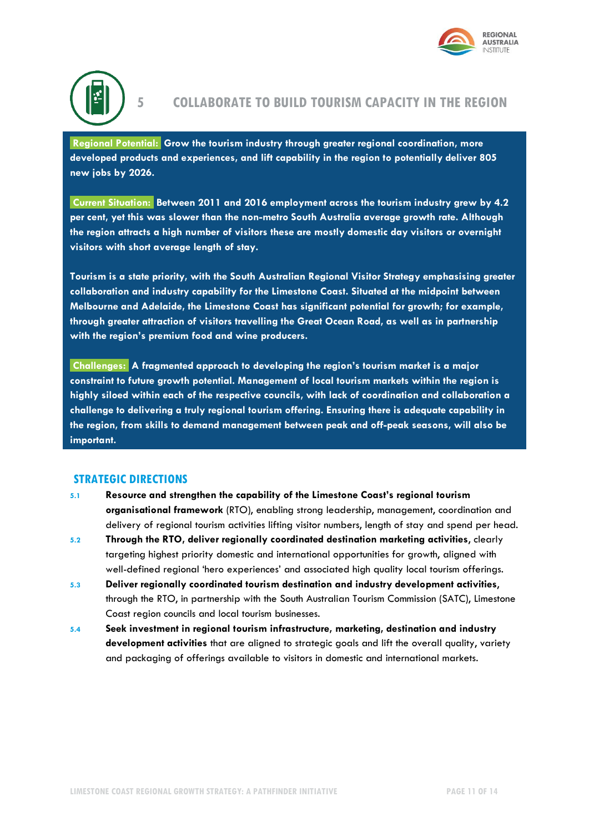



### **5 COLLABORATE TO BUILD TOURISM CAPACITY IN THE REGION**

**Regional Potential: Grow the tourism industry through greater regional coordination, more developed products and experiences, and lift capability in the region to potentially deliver 805 new jobs by 2026.** 

**Current Situation: Between 2011 and 2016 employment across the tourism industry grew by 4.2 per cent, yet this was slower than the non-metro South Australia average growth rate. Although the region attracts a high number of visitors these are mostly domestic day visitors or overnight visitors with short average length of stay.** 

**Tourism is a state priority, with the South Australian Regional Visitor Strategy emphasising greater collaboration and industry capability for the Limestone Coast. Situated at the midpoint between Melbourne and Adelaide, the Limestone Coast has significant potential for growth; for example, through greater attraction of visitors travelling the Great Ocean Road, as well as in partnership with the region's premium food and wine producers.** 

**Challenges: A fragmented approach to developing the region's tourism market is a major constraint to future growth potential. Management of local tourism markets within the region is highly siloed within each of the respective councils, with lack of coordination and collaboration a challenge to delivering a truly regional tourism offering. Ensuring there is adequate capability in the region, from skills to demand management between peak and off-peak seasons, will also be important.**

- **5.1 Resource and strengthen the capability of the Limestone Coast's regional tourism organisational framework** (RTO), enabling strong leadership, management, coordination and delivery of regional tourism activities lifting visitor numbers, length of stay and spend per head.
- **5.2 Through the RTO, deliver regionally coordinated destination marketing activities**, clearly targeting highest priority domestic and international opportunities for growth, aligned with well-defined regional 'hero experiences' and associated high quality local tourism offerings.
- **5.3 Deliver regionally coordinated tourism destination and industry development activities**, through the RTO, in partnership with the South Australian Tourism Commission (SATC), Limestone Coast region councils and local tourism businesses.
- **5.4 Seek investment in regional tourism infrastructure, marketing, destination and industry development activities** that are aligned to strategic goals and lift the overall quality, variety and packaging of offerings available to visitors in domestic and international markets.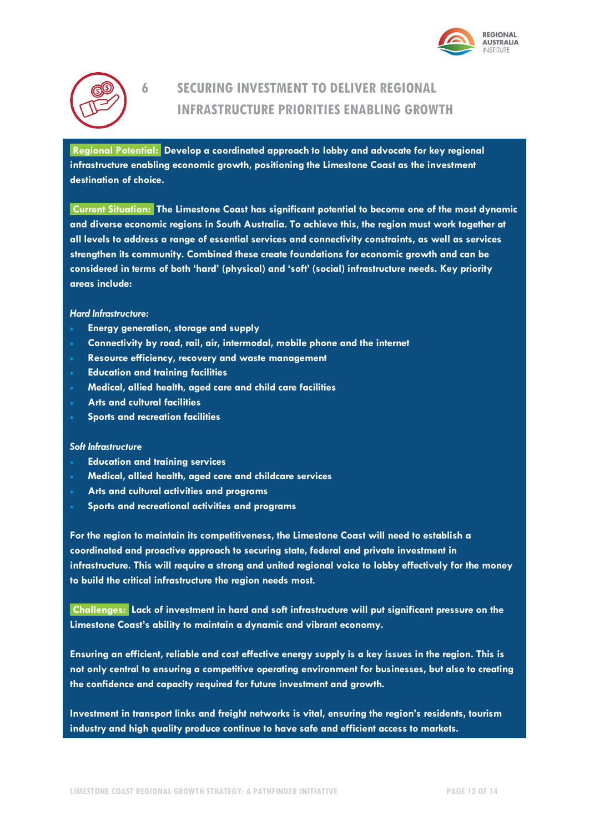



# **6 SECURING INVESTMENT TO DELIVER REGIONAL INFRASTRUCTURE PRIORITIES ENABLING GROWTH**

**Regional Potential: Develop a coordinated approach to lobby and advocate for key regional infrastructure enabling economic growth, positioning the Limestone Coast as the investment destination of choice.**

**Current Situation: The Limestone Coast has significant potential to become one of the most dynamic and diverse economic regions in South Australia. To achieve this, the region must work together at all levels to address a range of essential services and connectivity constraints, as well as services strengthen its community. Combined these create foundations for economic growth and can be considered in terms of both 'hard' (physical) and 'soft' (social) infrastructure needs. Key priority areas include:**

*Hard Infrastructure:*

- **Energy generation, storage and supply**
- **Connectivity by road, rail, air, intermodal, mobile phone and the internet**
- **Resource efficiency, recovery and waste management**
- **Education and training facilities**
- **Medical, allied health, aged care and child care facilities**
- **Arts and cultural facilities**
- **Sports and recreation facilities**

#### *Soft Infrastructure*

- **Education and training services**
- **Medical, allied health, aged care and childcare services**
- **Arts and cultural activities and programs**
- **Sports and recreational activities and programs**

**For the region to maintain its competitiveness, the Limestone Coast will need to establish a coordinated and proactive approach to securing state, federal and private investment in infrastructure. This will require a strong and united regional voice to lobby effectively for the money to build the critical infrastructure the region needs most.** 

**Challenges: Lack of investment in hard and soft infrastructure will put significant pressure on the Limestone Coast's ability to maintain a dynamic and vibrant economy.** 

**Ensuring an efficient, reliable and cost effective energy supply is a key issues in the region. This is not only central to ensuring a competitive operating environment for businesses, but also to creating the confidence and capacity required for future investment and growth.** 

**Investment in transport links and freight networks is vital, ensuring the region's residents, tourism industry and high quality produce continue to have safe and efficient access to markets.**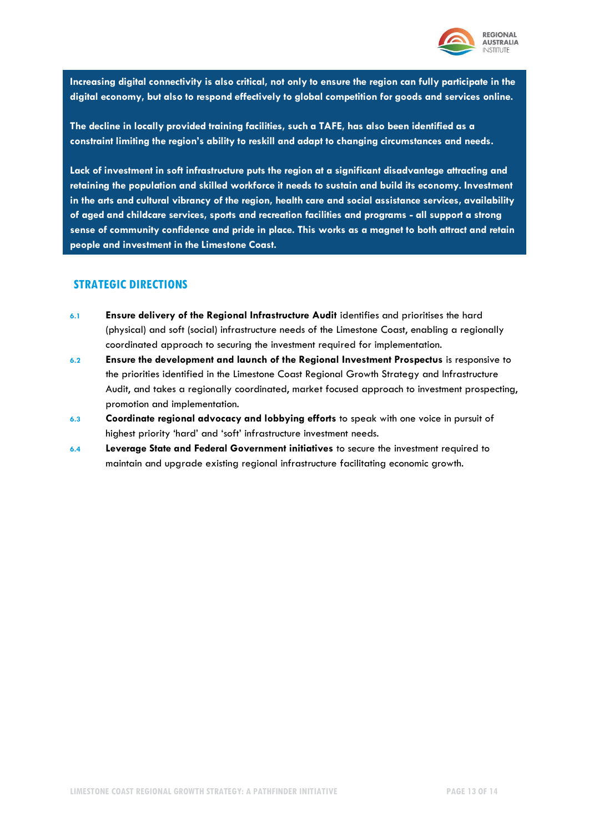

**Increasing digital connectivity is also critical, not only to ensure the region can fully participate in the digital economy, but also to respond effectively to global competition for goods and services online.** 

**The decline in locally provided training facilities, such a TAFE, has also been identified as a constraint limiting the region's ability to reskill and adapt to changing circumstances and needs.**

**Lack of investment in soft infrastructure puts the region at a significant disadvantage attracting and retaining the population and skilled workforce it needs to sustain and build its economy. Investment in the arts and cultural vibrancy of the region, health care and social assistance services, availability of aged and childcare services, sports and recreation facilities and programs - all support a strong sense of community confidence and pride in place. This works as a magnet to both attract and retain people and investment in the Limestone Coast.** 

- **6.1 Ensure delivery of the Regional Infrastructure Audit** identifies and prioritises the hard (physical) and soft (social) infrastructure needs of the Limestone Coast, enabling a regionally coordinated approach to securing the investment required for implementation.
- **6.2 Ensure the development and launch of the Regional Investment Prospectus** is responsive to the priorities identified in the Limestone Coast Regional Growth Strategy and Infrastructure Audit, and takes a regionally coordinated, market focused approach to investment prospecting, promotion and implementation.
- **6.3 Coordinate regional advocacy and lobbying efforts** to speak with one voice in pursuit of highest priority 'hard' and 'soft' infrastructure investment needs.
- **6.4 Leverage State and Federal Government initiatives** to secure the investment required to maintain and upgrade existing regional infrastructure facilitating economic growth.